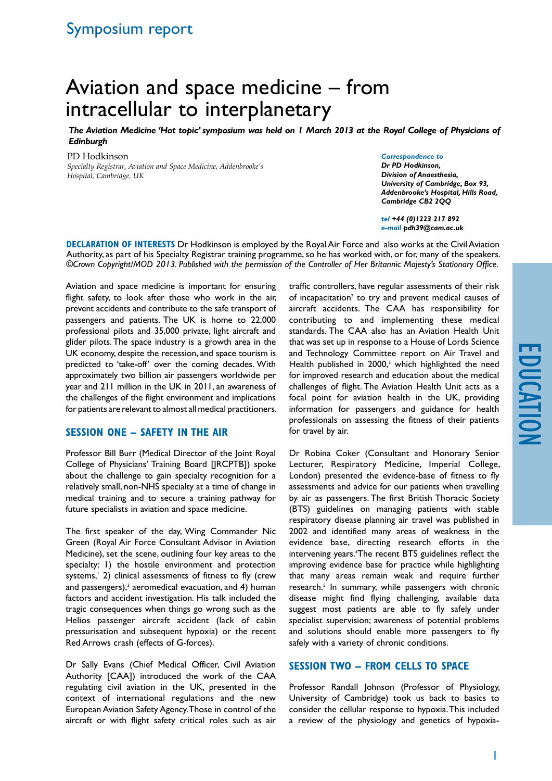# Aviation and space medicine – from intracellular to interplanetary

*The Aviation Medicine 'Hot topic' symposium was held on 1 March 2013 at the Royal College of Physicians of Edinburgh*

PD Hodkinson

*Specialty Registrar, Aviation and Space Medicine, Addenbrooke's Hospital, Cambridge, UK*

#### *Correspondence to*

*Dr PD Hodkinson, Division of Anaesthesia, University of Cambridge, Box 93, Addenbrooke's Hospital, Hills Road, Cambridge CB2 2QQ*

*tel +44 (0)1223 217 892 e-mail pdh39@cam.ac.uk* 

**Declaration of Interests** Dr Hodkinson is employed by the Royal Air Force and also works at the Civil Aviation Authority, as part of his Specialty Registrar training programme, so he has worked with, or for, many of the speakers. *©Crown Copyright/MOD 2013. Published with the permission of the Controller of Her Britannic Majesty's Stationary Office.*

Aviation and space medicine is important for ensuring flight safety, to look after those who work in the air, prevent accidents and contribute to the safe transport of passengers and patients. The UK is home to 22,000 professional pilots and 35,000 private, light aircraft and glider pilots. The space industry is a growth area in the UK economy, despite the recession, and space tourism is predicted to 'take-off' over the coming decades. With approximately two billion air passengers worldwide per year and 211 million in the UK in 2011, an awareness of the challenges of the flight environment and implications for patients are relevant to almost all medical practitioners.

# **SESSION ONE – SAFETY IN THE AIR**

Professor Bill Burr (Medical Director of the Joint Royal College of Physicians' Training Board [JRCPTB]) spoke about the challenge to gain specialty recognition for a relatively small, non-NHS specialty at a time of change in medical training and to secure a training pathway for future specialists in aviation and space medicine.

The first speaker of the day, Wing Commander Nic Green (Royal Air Force Consultant Advisor in Aviation Medicine), set the scene, outlining four key areas to the specialty: 1) the hostile environment and protection systems,<sup>1</sup> 2) clinical assessments of fitness to fly (crew and passengers),<sup>3</sup> aeromedical evacuation, and 4) human factors and accident investigation. His talk included the tragic consequences when things go wrong such as the Helios passenger aircraft accident (lack of cabin pressurisation and subsequent hypoxia) or the recent Red Arrows crash (effects of G-forces).

Dr Sally Evans (Chief Medical Officer, Civil Aviation Authority [CAA]) introduced the work of the CAA regulating civil aviation in the UK, presented in the context of international regulations and the new European Aviation Safety Agency. Those in control of the aircraft or with flight safety critical roles such as air traffic controllers, have regular assessments of their risk of incapacitation<sup>2</sup> to try and prevent medical causes of aircraft accidents. The CAA has responsibility for contributing to and implementing these medical standards. The CAA also has an Aviation Health Unit that was set up in response to a House of Lords Science and Technology Committee report on Air Travel and Health published in 2000,<sup>3</sup> which highlighted the need for improved research and education about the medical challenges of flight. The Aviation Health Unit acts as a focal point for aviation health in the UK, providing information for passengers and guidance for health professionals on assessing the fitness of their patients for travel by air.

Dr Robina Coker (Consultant and Honorary Senior Lecturer, Respiratory Medicine, Imperial College, London) presented the evidence-base of fitness to fly assessments and advice for our patients when travelling by air as passengers. The first British Thoracic Society (BTS) guidelines on managing patients with stable respiratory disease planning air travel was published in 2002 and identified many areas of weakness in the evidence base, directing research efforts in the intervening years.<sup>4</sup>The recent BTS guidelines reflect the improving evidence base for practice while highlighting that many areas remain weak and require further research.<sup>5</sup> In summary, while passengers with chronic disease might find flying challenging, available data suggest most patients are able to fly safely under specialist supervision; awareness of potential problems and solutions should enable more passengers to fly safely with a variety of chronic conditions.

# **SESSION TWO – FROM CELLS TO SPACE**

Professor Randall Johnson (Professor of Physiology, University of Cambridge) took us back to basics to consider the cellular response to hypoxia. This included a review of the physiology and genetics of hypoxia-